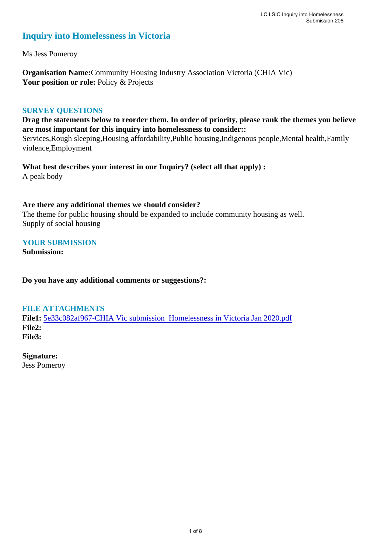## **Inquiry into Homelessness in Victoria**

Ms Jess Pomeroy

**Organisation Name:**Community Housing Industry Association Victoria (CHIA Vic) Your position or role: Policy & Projects

### **SURVEY QUESTIONS**

**Drag the statements below to reorder them. In order of priority, please rank the themes you believe are most important for this inquiry into homelessness to consider::** 

Services,Rough sleeping,Housing affordability,Public housing,Indigenous people,Mental health,Family violence,Employment

**What best describes your interest in our Inquiry? (select all that apply) :**  A peak body

### **Are there any additional themes we should consider?**

The theme for public housing should be expanded to include community housing as well. Supply of social housing

### **YOUR SUBMISSION**

**Submission:** 

**Do you have any additional comments or suggestions?:** 

### **FILE ATTACHMENTS**

**File1:** 5e33c082af967-CHIA Vic submission Homelessness in Victoria Jan 2020.pdf **File2: File3:** 

#### **Signature:**

Jess Pomeroy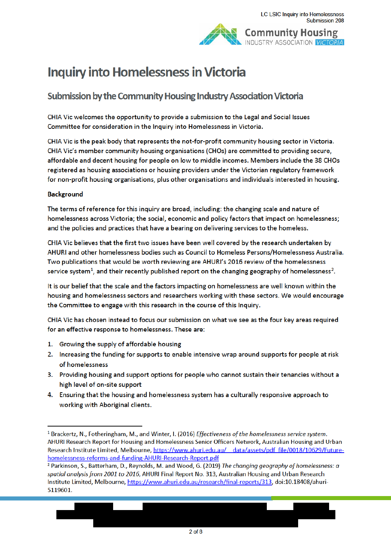# **Inquiry into Homelessness in Victoria**

## Submission by the Community Housing Industry Association Victoria

CHIA Vic welcomes the opportunity to provide a submission to the Legal and Social Issues Committee for consideration in the Inquiry into Homelessness in Victoria.

CHIA Vic is the peak body that represents the not-for-profit community housing sector in Victoria. CHIA Vic's member community housing organisations (CHOs) are committed to providing secure, affordable and decent housing for people on low to middle incomes. Members include the 38 CHOs registered as housing associations or housing providers under the Victorian regulatory framework for non-profit housing organisations, plus other organisations and individuals interested in housing.

#### **Background**

The terms of reference for this inquiry are broad, including: the changing scale and nature of homelessness across Victoria; the social, economic and policy factors that impact on homelessness; and the policies and practices that have a bearing on delivering services to the homeless.

CHIA Vic believes that the first two issues have been well covered by the research undertaken by AHURI and other homelessness bodies such as Council to Homeless Persons/Homelessness Australia. Two publications that would be worth reviewing are AHURI's 2016 review of the homelessness service system<sup>1</sup>, and their recently published report on the changing geography of homelessness<sup>2</sup>.

It is our belief that the scale and the factors impacting on homelessness are well known within the housing and homelessness sectors and researchers working with these sectors. We would encourage the Committee to engage with this research in the course of this Inquiry.

CHIA Vic has chosen instead to focus our submission on what we see as the four key areas required for an effective response to homelessness. These are:

- 1. Growing the supply of affordable housing
- 2. Increasing the funding for supports to enable intensive wrap around supports for people at risk of homelessness
- 3. Providing housing and support options for people who cannot sustain their tenancies without a high level of on-site support
- 4. Ensuring that the housing and homelessness system has a culturally responsive approach to working with Aboriginal clients.

<sup>&</sup>lt;sup>1</sup> Brackertz, N., Fotheringham, M., and Winter, I. (2016) Effectiveness of the homelessness service system. AHURI Research Report for Housing and Homelessness Senior Officers Network, Australian Housing and Urban Research Institute Limited, Melbourne, https://www.ahuri.edu.au/ data/assets/pdf file/0018/10629/Futurehomelessness-reforms-and-funding-AHURI-Research-Report.pdf

<sup>&</sup>lt;sup>2</sup> Parkinson, S., Batterham, D., Reynolds, M. and Wood, G. (2019) The changing geography of homelessness: a spatial analysis from 2001 to 2016, AHURI Final Report No. 313, Australian Housing and Urban Research Institute Limited, Melbourne, https://www.ahuri.edu.au/research/final-reports/313, doi:10.18408/ahuri-5119601.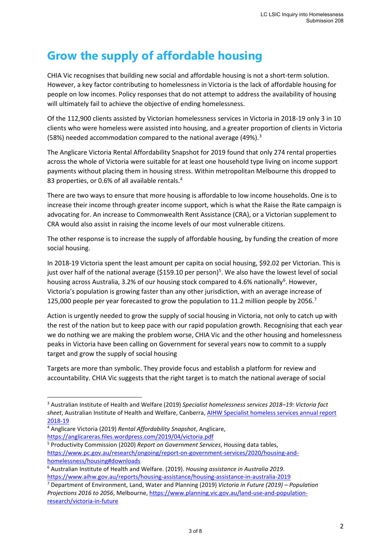## **Grow the supply of affordable housing**

CHIA Vic recognises that building new social and affordable housing is not a short-term solution. However, a key factor contributing to homelessness in Victoria is the lack of affordable housing for people on low incomes. Policy responses that do not attempt to address the availability of housing will ultimately fail to achieve the objective of ending homelessness.

Of the 112,900 clients assisted by Victorian homelessness services in Victoria in 2018-19 only 3 in 10 clients who were homeless were assisted into housing, and a greater proportion of clients in Victoria (58%) needed accommodation compared to the national average (49%). 3

The Anglicare Victoria Rental Affordability Snapshot for 2019 found that only 274 rental properties across the whole of Victoria were suitable for at least one household type living on income support payments without placing them in housing stress. Within metropolitan Melbourne this dropped to 83 properties, or 0.6% of all available rentals.<sup>4</sup>

There are two ways to ensure that more housing is affordable to low income households. One is to increase their income through greater income support, which is what the Raise the Rate campaign is advocating for. An increase to Commonwealth Rent Assistance (CRA), or a Victorian supplement to CRA would also assist in raising the income levels of our most vulnerable citizens.

The other response is to increase the supply of affordable housing, by funding the creation of more social housing.

In 2018-19 Victoria spent the least amount per capita on social housing, \$92.02 per Victorian. This is just over half of the national average (\$159.10 per person)<sup>5</sup>. We also have the lowest level of social housing across Australia, 3.2% of our housing stock compared to 4.6% nationally<sup>6</sup>. However, Victoria's population is growing faster than any other jurisdiction, with an average increase of 125,000 people per year forecasted to grow the population to 11.2 million people by 2056.<sup>7</sup>

Action is urgently needed to grow the supply of social housing in Victoria, not only to catch up with the rest of the nation but to keep pace with our rapid population growth. Recognising that each year we do nothing we are making the problem worse, CHIA Vic and the other housing and homelessness peaks in Victoria have been calling on Government for several years now to commit to a supply target and grow the supply of social housing

Targets are more than symbolic. They provide focus and establish a platform for review and accountability. CHIA Vic suggests that the right target is to match the national average of social

homelessness/housing#downloads

<sup>3</sup> Australian Institute of Health and Welfare (2019) *Specialist homelessness services 2018–19: Victoria fact sheet*, Australian Institute of Health and Welfare, Canberra, AIHW Specialist homeless services annual report 2018-19

<sup>4</sup> Anglicare Victoria (2019) *Rental Affordability Snapshot*, Anglicare,

https://anglicareras.files.wordpress.com/2019/04/victoria.pdf 5 Productivity Commission (2020) *Report on Government Services*, Housing data tables, https://www.pc.gov.au/research/ongoing/report-on-government-services/2020/housing-and-

<sup>6</sup> Australian Institute of Health and Welfare. (2019). *Housing assistance in Australia 2019*.

https://www.aihw.gov.au/reports/housing-assistance/housing-assistance-in-australia-2019 7 Department of Environment, Land, Water and Planning (2019) *Victoria in Future (2019) – Population Projections 2016 to 2056*, Melbourne, https://www.planning.vic.gov.au/land-use-and-populationresearch/victoria-in-future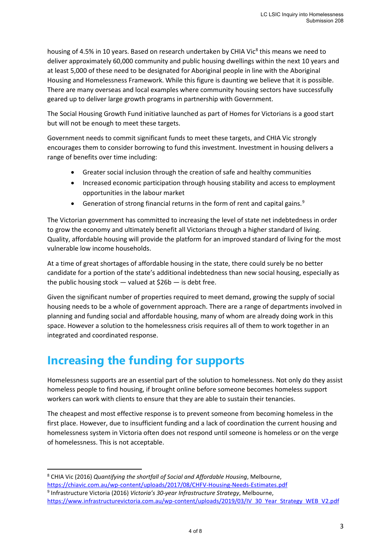housing of 4.5% in 10 years. Based on research undertaken by CHIA Vic<sup>8</sup> this means we need to deliver approximately 60,000 community and public housing dwellings within the next 10 years and at least 5,000 of these need to be designated for Aboriginal people in line with the Aboriginal Housing and Homelessness Framework. While this figure is daunting we believe that it is possible. There are many overseas and local examples where community housing sectors have successfully geared up to deliver large growth programs in partnership with Government.

The Social Housing Growth Fund initiative launched as part of Homes for Victorians is a good start but will not be enough to meet these targets.

Government needs to commit significant funds to meet these targets, and CHIA Vic strongly encourages them to consider borrowing to fund this investment. Investment in housing delivers a range of benefits over time including:

- Greater social inclusion through the creation of safe and healthy communities
- Increased economic participation through housing stability and access to employment opportunities in the labour market
- Generation of strong financial returns in the form of rent and capital gains.<sup>9</sup>

The Victorian government has committed to increasing the level of state net indebtedness in order to grow the economy and ultimately benefit all Victorians through a higher standard of living. Quality, affordable housing will provide the platform for an improved standard of living for the most vulnerable low income households.

At a time of great shortages of affordable housing in the state, there could surely be no better candidate for a portion of the state's additional indebtedness than new social housing, especially as the public housing stock — valued at \$26b — is debt free.

Given the significant number of properties required to meet demand, growing the supply of social housing needs to be a whole of government approach. There are a range of departments involved in planning and funding social and affordable housing, many of whom are already doing work in this space. However a solution to the homelessness crisis requires all of them to work together in an integrated and coordinated response.

## **Increasing the funding for supports**

Homelessness supports are an essential part of the solution to homelessness. Not only do they assist homeless people to find housing, if brought online before someone becomes homeless support workers can work with clients to ensure that they are able to sustain their tenancies.

The cheapest and most effective response is to prevent someone from becoming homeless in the first place. However, due to insufficient funding and a lack of coordination the current housing and homelessness system in Victoria often does not respond until someone is homeless or on the verge of homelessness. This is not acceptable.

<sup>8</sup> CHIA Vic (2016) *Quantifying the shortfall of Social and Affordable Housing*, Melbourne, https://chiavic.com.au/wp-content/uploads/2017/08/CHFV-Housing-Needs-Estimates.pdf 9 Infrastructure Victoria (2016) *Victoria's 30-year Infrastructure Strategy*, Melbourne, https://www.infrastructurevictoria.com.au/wp-content/uploads/2019/03/IV 30 Year Strategy WEB V2.pdf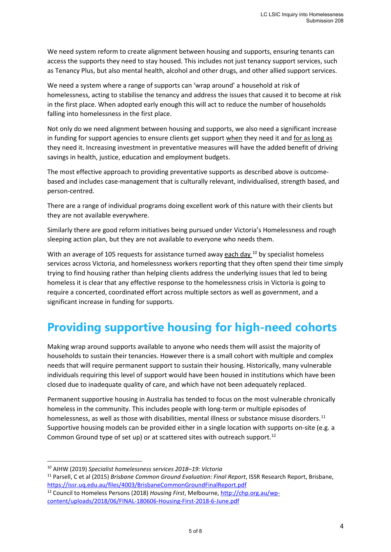We need system reform to create alignment between housing and supports, ensuring tenants can access the supports they need to stay housed. This includes not just tenancy support services, such as Tenancy Plus, but also mental health, alcohol and other drugs, and other allied support services.

We need a system where a range of supports can 'wrap around' a household at risk of homelessness, acting to stabilise the tenancy and address the issues that caused it to become at risk in the first place. When adopted early enough this will act to reduce the number of households falling into homelessness in the first place.

Not only do we need alignment between housing and supports, we also need a significant increase in funding for support agencies to ensure clients get support when they need it and for as long as they need it. Increasing investment in preventative measures will have the added benefit of driving savings in health, justice, education and employment budgets.

The most effective approach to providing preventative supports as described above is outcomebased and includes case-management that is culturally relevant, individualised, strength based, and person-centred.

There are a range of individual programs doing excellent work of this nature with their clients but they are not available everywhere.

Similarly there are good reform initiatives being pursued under Victoria's Homelessness and rough sleeping action plan, but they are not available to everyone who needs them.

With an average of 105 requests for assistance turned away each day  $^{10}$  by specialist homeless services across Victoria, and homelessness workers reporting that they often spend their time simply trying to find housing rather than helping clients address the underlying issues that led to being homeless it is clear that any effective response to the homelessness crisis in Victoria is going to require a concerted, coordinated effort across multiple sectors as well as government, and a significant increase in funding for supports.

## **Providing supportive housing for high-need cohorts**

Making wrap around supports available to anyone who needs them will assist the majority of households to sustain their tenancies. However there is a small cohort with multiple and complex needs that will require permanent support to sustain their housing. Historically, many vulnerable individuals requiring this level of support would have been housed in institutions which have been closed due to inadequate quality of care, and which have not been adequately replaced.

Permanent supportive housing in Australia has tended to focus on the most vulnerable chronically homeless in the community. This includes people with long-term or multiple episodes of homelessness, as well as those with disabilities, mental illness or substance misuse disorders.<sup>11</sup> Supportive housing models can be provided either in a single location with supports on-site (e.g. a Common Ground type of set up) or at scattered sites with outreach support.<sup>12</sup>

<sup>10</sup> AIHW (2019) *Specialist homelessness services 2018–19: Victoria* 11 Parsell, C et al (2015) *Brisbane Common Ground Evaluation: Final Report*, ISSR Research Report, Brisbane, https://issr.uq.edu.au/files/4003/BrisbaneCommonGroundFinalReport.pdf

<sup>12</sup> Council to Homeless Persons (2018) *Housing First*, Melbourne, http://chp.org.au/wpcontent/uploads/2018/06/FINAL-180606-Housing-First-2018-6-June.pdf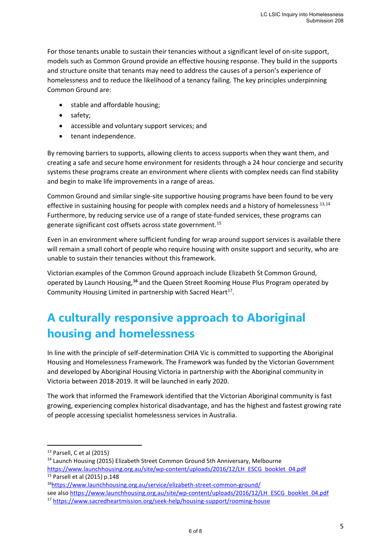For those tenants unable to sustain their tenancies without a significant level of on-site support, models such as Common Ground provide an effective housing response. They build in the supports and structure onsite that tenants may need to address the causes of a person's experience of homelessness and to reduce the likelihood of a tenancy failing. The key principles underpinning Common Ground are:

- stable and affordable housing;
- safety;
- accessible and voluntary support services; and
- tenant independence.

By removing barriers to supports, allowing clients to access supports when they want them, and creating a safe and secure home environment for residents through a 24 hour concierge and security systems these programs create an environment where clients with complex needs can find stability and begin to make life improvements in a range of areas.

Common Ground and similar single-site supportive housing programs have been found to be very effective in sustaining housing for people with complex needs and a history of homelessness.  $13,14$ Furthermore, by reducing service use of a range of state-funded services, these programs can generate significant cost offsets across state government.15

Even in an environment where sufficient funding for wrap around support services is available there will remain a small cohort of people who require housing with onsite support and security, who are unable to sustain their tenancies without this framework.

Victorian examples of the Common Ground approach include Elizabeth St Common Ground, operated by Launch Housing, **<sup>16</sup>** and the Queen Street Rooming House Plus Program operated by Community Housing Limited in partnership with Sacred Heart<sup>17</sup>.

# **A culturally responsive approach to Aboriginal housing and homelessness**

In line with the principle of self-determination CHIA Vic is committed to supporting the Aboriginal Housing and Homelessness Framework. The Framework was funded by the Victorian Government and developed by Aboriginal Housing Victoria in partnership with the Aboriginal community in Victoria between 2018-2019. It will be launched in early 2020.

The work that informed the Framework identified that the Victorian Aboriginal community is fast growing, experiencing complex historical disadvantage, and has the highest and fastest growing rate of people accessing specialist homelessness services in Australia.

<sup>&</sup>lt;sup>13</sup> Parsell, C et al (2015)<br><sup>14</sup> Launch Housing (2015) Elizabeth Street Common Ground 5th Anniversary, Melbourne

https://www.launchhousing.org.au/site/wp-content/uploads/2016/12/LH ESCG booklet 04.pdf <sup>15</sup> Parsell et al (2015) p.148

<sup>16</sup>https://www.launchhousing.org.au/service/elizabeth-street-common-ground/

see also https://www.launchhousing.org.au/site/wp-content/uploads/2016/12/LH ESCG booklet 04.pdf

<sup>17</sup> https://www.sacredheartmission.org/seek-help/housing-support/rooming-house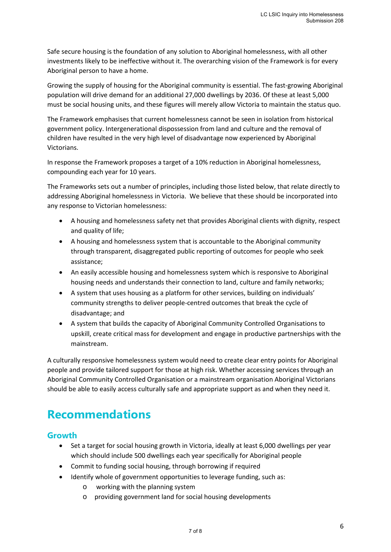Safe secure housing is the foundation of any solution to Aboriginal homelessness, with all other investments likely to be ineffective without it. The overarching vision of the Framework is for every Aboriginal person to have a home.

Growing the supply of housing for the Aboriginal community is essential. The fast-growing Aboriginal population will drive demand for an additional 27,000 dwellings by 2036. Of these at least 5,000 must be social housing units, and these figures will merely allow Victoria to maintain the status quo.

The Framework emphasises that current homelessness cannot be seen in isolation from historical government policy. Intergenerational dispossession from land and culture and the removal of children have resulted in the very high level of disadvantage now experienced by Aboriginal Victorians.

In response the Framework proposes a target of a 10% reduction in Aboriginal homelessness, compounding each year for 10 years.

The Frameworks sets out a number of principles, including those listed below, that relate directly to addressing Aboriginal homelessness in Victoria. We believe that these should be incorporated into any response to Victorian homelessness:

- A housing and homelessness safety net that provides Aboriginal clients with dignity, respect and quality of life;
- A housing and homelessness system that is accountable to the Aboriginal community through transparent, disaggregated public reporting of outcomes for people who seek assistance;
- An easily accessible housing and homelessness system which is responsive to Aboriginal housing needs and understands their connection to land, culture and family networks;
- A system that uses housing as a platform for other services, building on individuals' community strengths to deliver people-centred outcomes that break the cycle of disadvantage; and
- A system that builds the capacity of Aboriginal Community Controlled Organisations to upskill, create critical mass for development and engage in productive partnerships with the mainstream.

A culturally responsive homelessness system would need to create clear entry points for Aboriginal people and provide tailored support for those at high risk. Whether accessing services through an Aboriginal Community Controlled Organisation or a mainstream organisation Aboriginal Victorians should be able to easily access culturally safe and appropriate support as and when they need it.

## **Recommendations**

## **Growth**

- Set a target for social housing growth in Victoria, ideally at least 6,000 dwellings per year which should include 500 dwellings each year specifically for Aboriginal people
- Commit to funding social housing, through borrowing if required
- Identify whole of government opportunities to leverage funding, such as:
	- o working with the planning system
	- o providing government land for social housing developments